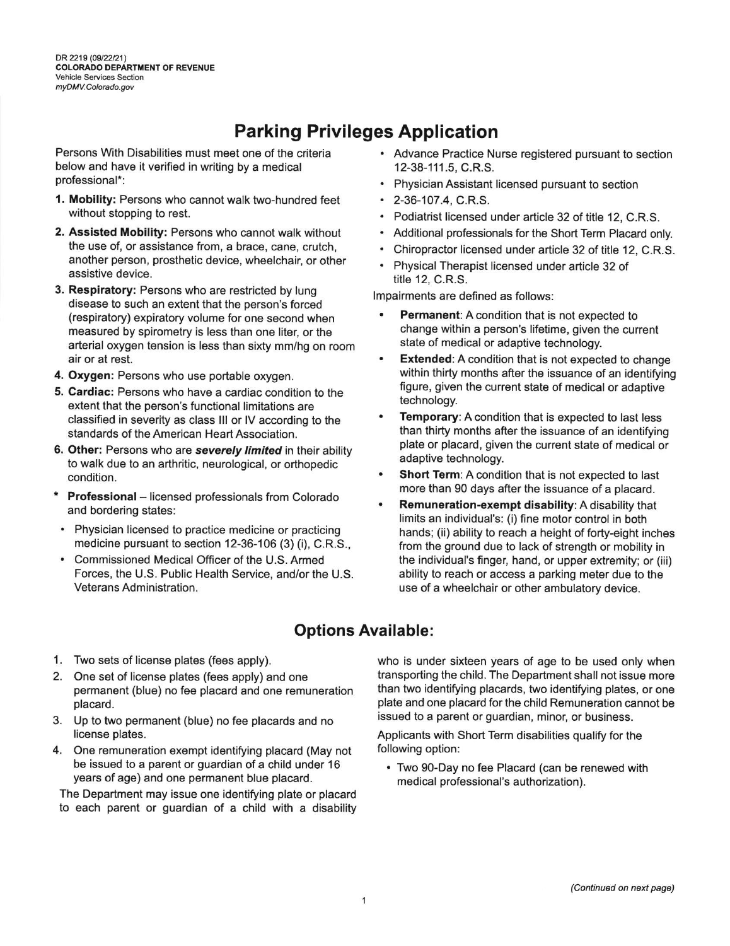DR 2219 (09/22/21) COLORADO DEPARTMENT OF REVENUE Vehicle Services Section myDMV.Colorado.gov

## Parking Privileges Application

Persons With Disabilities must meet one of the criteria below and have it verified in writing by a medical professional\*:

- 1. Mobility: Persons who cannot walk two-hundred feet without stopping to rest.
- 2. Assisted Mobility: Persons who cannot walk without the use of, or assistance from, a brace, cane, crutch, another person, prosthetic device, wheelchair, or other assistive device.
- 3. Respiratory: Persons who are restricted by lung disease to such an extent that the person's forced (respiratory) expiratory volume for one second when measured by spirometry is less than one liter, or the arterial oxygen tension is less than sixty mm/hg on room air or al rest.
- 4. Oxygen: Persons who use portable oxygen.
- 5. Cardiac: Persons who have a cardiac condition to the extent that the person's functional limitations are classified in severity as class lll or lV according to the standards of the American Heart Association.
- 6. Other: Persons who are severely limited in their ability to walk due to an arthritic, neurological, or orthopedic condition.
- \* Professional licensed professionals from Colorado and bordering states:
- . Physician licensed to practice medicine or practicing medicine pursuant to section 12-36-106 (3) (i), C.R.S.,
- . Commissioned Medical Officer of the U.S. Armed Forces, the U.S. Public Health Service, and/or the U.S. Veterans Administration.
- Advance Practice Nurse registered pursuant to section 12-38-111.5, C.R.S.
- . Physician Assistant licensed pursuant to section
- . 2-36-107.4, C.R.S.
- Podiatrist licensed under article 32 of title 12, C.R.S.
- . Additional professionals for the Short Term Placard only.
- . Chiropractor licensed under article 32 of title 12, C.R.S.
- . Physical Therapist licensed under article 32 of title 12, C.R.S.

Impairments are defined as follows:

- Permanent: A condition that is not expected to change within a person's lifetime, given the current state of medical or adaptive technology.
- **Extended:** A condition that is not expected to change within thirty months after the issuance of an identifying figure, given the current state of medical or adaptive technology.
- Temporary: A condition that is expected to last less than thirty months after the issuance of an identifying plate or placard, given the current state of medical or adaptive technology.
- Short Term: A condition that is not expected to last more than 90 days after the issuance of a placard.
- Remuneration-exempt disability: A disability that limits an individual's: (i) fine motor control in both hands; (ii) ability to reach a height of forty-eight inches from the ground due to lack of strength or mobility in the individual's fnger, hand, or upper extremity; or (iii) ability to reach or access a parking meter due to the use of a wheelchair or other ambulatory device.

## Options Available:

- 1. Two sets of license plates (fees apply).
- 2. One set of license plates (fees apply) and one permanent (blue) no fee placard and one remuneration placard.
- 3. Up to two permanent (blue) no fee placards and no license plates.
- 4. One remuneration exempt identifying placard (May not be issued to a parent or guardian of a child under 16 years of age) and one permanent blue placard.

The Department may issue one identifying plate or placard to each parent or guardian of a child with a disability who is under sixteen years of age to be used only when transporting the child. The Department shall not issue more than two identifying placards, two identifying plates, or one plate and one placard for the child Remuneration cannot be issued to a parent or guardian, minor, or business.

Applicants with Short Term disabilities qualify for the following option:

. Two 90-Day no fee Placard (can be renewed with medical professional's authorization).